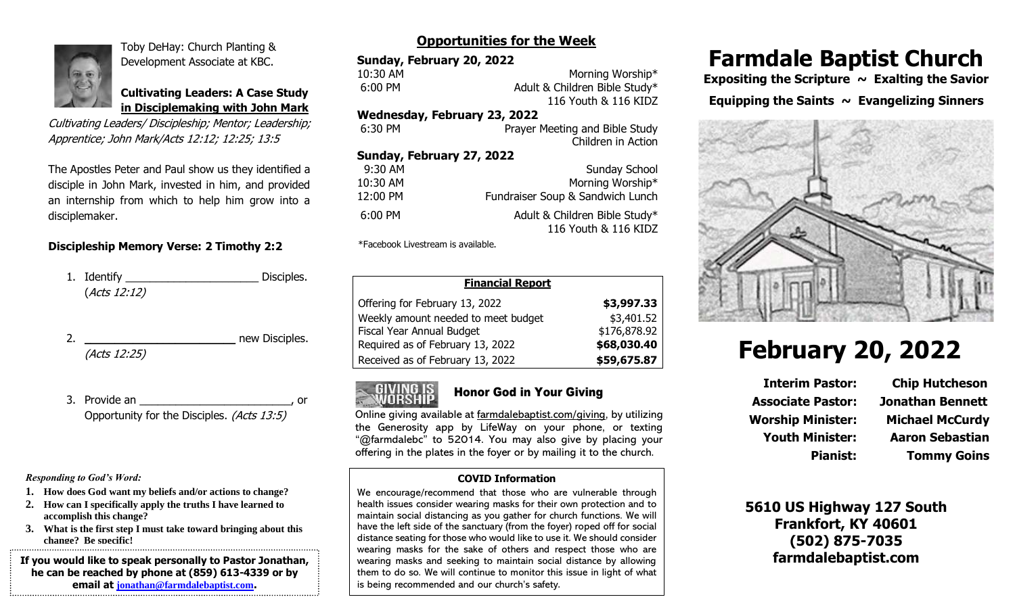

Toby DeHay: Church Planting & Development Associate at KBC.

**Cultivating Leaders: A Case Study in Disciplemaking with John Mark**

Cultivating Leaders/ Discipleship; Mentor; Leadership; Apprentice; John Mark/Acts 12:12; 12:25; 13:5

The Apostles Peter and Paul show us they identified a disciple in John Mark, invested in him, and provided an internship from which to help him grow into a disciplemaker.

### **Discipleship Memory Verse: 2 Timothy 2:2**

| 1. Identify $\overline{\phantom{a}}$ | Disciples. |
|--------------------------------------|------------|
| (Acts 12:12)                         |            |
|                                      |            |

|              | new Disciples. |
|--------------|----------------|
| (Acts 12:25) |                |

3. Provide an  $\overline{\phantom{a}}$ , or Opportunity for the Disciples. (Acts 13:5)

*Responding to God's Word:*

- **1. How does God want my beliefs and/or actions to change?**
- **2. How can I specifically apply the truths I have learned to accomplish this change?**
- **3. What is the first step I must take toward bringing about this change? Be specific!**

**If you would like to speak personally to Pastor Jonathan, he can be reached by phone at (859) 613-4339 or by email at [jonathan@farmdalebaptist.com](mailto:jonathan@farmdalebaptist.com).**

## **Opportunities for the Week**

| Sunday, February 20, 2022    |                                |
|------------------------------|--------------------------------|
| 10:30 AM                     | Morning Worship*               |
| 6:00 PM                      | Adult & Children Bible Study*  |
|                              | 116 Youth & 116 KIDZ           |
| Wednesday, February 23, 2022 |                                |
| 6:30 PM                      | Prayer Meeting and Bible Study |
|                              | Children in Action             |
| Cunday Eahruan, 77, 7077     |                                |

| Sunday School                                         |
|-------------------------------------------------------|
| Morning Worship*                                      |
| Fundraiser Soup & Sandwich Lunch                      |
| Adult & Children Bible Study*<br>116 Youth & 116 KIDZ |
|                                                       |

\*Facebook Livestream is available.

| <b>Financial Report</b>             |              |
|-------------------------------------|--------------|
| Offering for February 13, 2022      | \$3,997.33   |
| Weekly amount needed to meet budget | \$3,401.52   |
| Fiscal Year Annual Budget           | \$176,878.92 |
| Required as of February 13, 2022    | \$68,030.40  |
| Received as of February 13, 2022    | \$59,675.87  |



### Honor God in Your Giving

Online giving available at farmdalebaptist.com/giving, by utilizing the Generosity app by LifeWay on your phone, or texting "@farmdalebc" to 52014. You may also give by placing your offering in the plates in the foyer or by mailing it to the church.

### **COVID Information**

We encourage/recommend that those who are vulnerable through health issues consider wearing masks for their own protection and to maintain social distancing as you gather for church functions. We will have the left side of the sanctuary (from the foyer) roped off for social distance seating for those who would like to use it. We should consider wearing masks for the sake of others and respect those who are wearing masks and seeking to maintain social distance by allowing them to do so. We will continue to monitor this issue in light of what is being recommended and our church's safety.

# **Farmdale Baptist Church**

Expositing the Scripture ~ Exalting the Savior Equipping the Saints  $\sim$  Evangelizing Sinners



# **February 20, 2022**

**Interim Pastor: Chip Hutcheson Associate Pastor: Jonathan Bennett Worship Minister: Michael McCurdy Youth Minister: Aaron Sebastian**

**Pianist: Tommy Goins**

**5610 US Highway 127 South Frankfort, KY 40601 (502) 875-7035 farmdalebaptist.com**